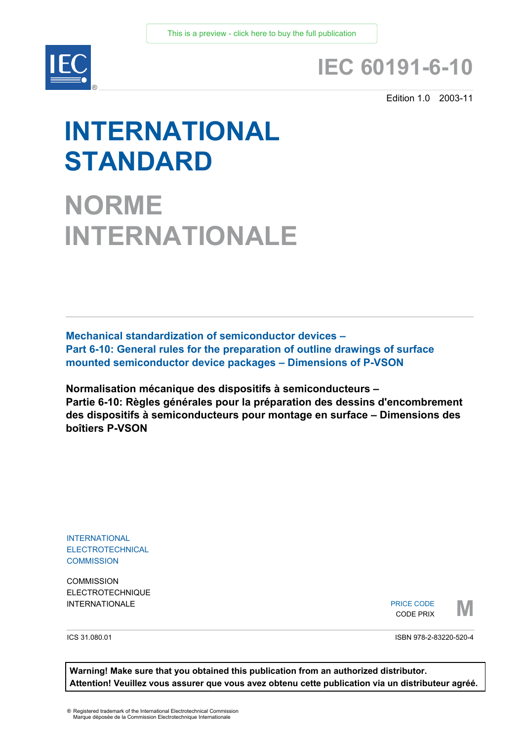

# **IEC 60191-6-10**

Edition 1.0 2003-11

# **INTERNATIONAL STANDARD**

**NORME INTERNATIONALE**

**Mechanical standardization of semiconductor devices – Part 6-10: General rules for the preparation of outline drawings of surface mounted semiconductor device packages – Dimensions of P-VSON** 

**Normalisation mécanique des dispositifs à semiconducteurs – Partie 6-10: Règles générales pour la préparation des dessins d'encombrement des dispositifs à semiconducteurs pour montage en surface – Dimensions des boîtiers P-VSON** 

INTERNATIONAL ELECTROTECHNICAL **COMMISSION** 

**COMMISSION** ELECTROTECHNIQUE

INTERNATIONALE **MANUFARY PRICE CODE** PRICE CODE CODE PRIX



ICS 31.080.01

ISBN 978-2-83220-520-4

 **Warning! Make sure that you obtained this publication from an authorized distributor. Attention! Veuillez vous assurer que vous avez obtenu cette publication via un distributeur agréé.**

® Registered trademark of the International Electrotechnical Commission Marque déposée de la Commission Electrotechnique Internationale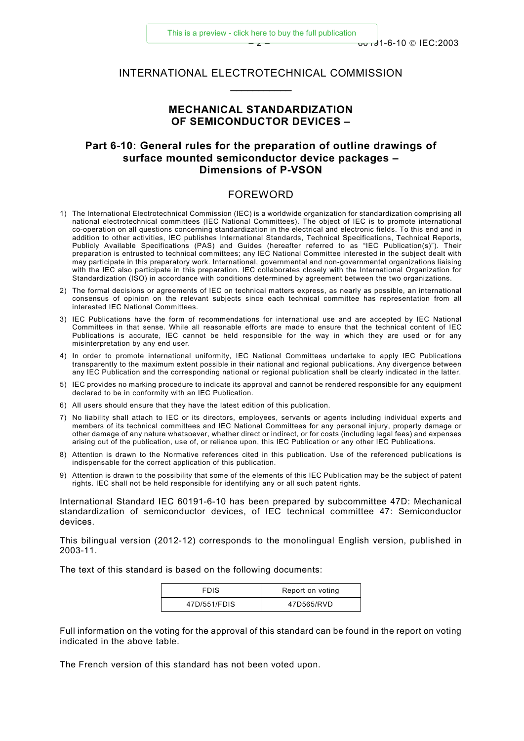# INTERNATIONAL ELECTROTECHNICAL COMMISSION  $\overline{\phantom{a}}$

# **MECHANICAL STANDARDIZATION OF SEMICONDUCTOR DEVICES –**

# **Part 6-10: General rules for the preparation of outline drawings of surface mounted semiconductor device packages – Dimensions of P-VSON**

#### **FOREWORD**

- 1) The International Electrotechnical Commission (IEC) is a worldwide organization for standardization comprising all national electrotechnical committees (IEC National Committees). The object of IEC is to promote international co-operation on all questions concerning standardization in the electrical and electronic fields. To this end and in addition to other activities, IEC publishes International Standards, Technical Specifications, Technical Reports, Publicly Available Specifications (PAS) and Guides (hereafter referred to as "IEC Publication(s)"). Their preparation is entrusted to technical committees; any IEC National Committee interested in the subject dealt with may participate in this preparatory work. International, governmental and non-governmental organizations liaising with the IEC also participate in this preparation. IEC collaborates closely with the International Organization for Standardization (ISO) in accordance with conditions determined by agreement between the two organizations.
- 2) The formal decisions or agreements of IEC on technical matters express, as nearly as possible, an international consensus of opinion on the relevant subjects since each technical committee has representation from all interested IEC National Committees.
- 3) IEC Publications have the form of recommendations for international use and are accepted by IEC National Committees in that sense. While all reasonable efforts are made to ensure that the technical content of IEC Publications is accurate, IEC cannot be held responsible for the way in which they are used or for any misinterpretation by any end user.
- 4) In order to promote international uniformity, IEC National Committees undertake to apply IEC Publications transparently to the maximum extent possible in their national and regional publications. Any divergence between any IEC Publication and the corresponding national or regional publication shall be clearly indicated in the latter.
- 5) IEC provides no marking procedure to indicate its approval and cannot be rendered responsible for any equipment declared to be in conformity with an IEC Publication.
- 6) All users should ensure that they have the latest edition of this publication.
- 7) No liability shall attach to IEC or its directors, employees, servants or agents including individual experts and members of its technical committees and IEC National Committees for any personal injury, property damage or other damage of any nature whatsoever, whether direct or indirect, or for costs (including legal fees) and expenses arising out of the publication, use of, or reliance upon, this IEC Publication or any other IEC Publications.
- 8) Attention is drawn to the Normative references cited in this publication. Use of the referenced publications is indispensable for the correct application of this publication.
- 9) Attention is drawn to the possibility that some of the elements of this IEC Publication may be the subject of patent rights. IEC shall not be held responsible for identifying any or all such patent rights.

International Standard IEC 60191-6-10 has been prepared by subcommittee 47D: Mechanical standardization of semiconductor devices, of IEC technical committee 47: Semiconductor devices.

This bilingual version (2012-12) corresponds to the monolingual English version, published in 2003-11.

The text of this standard is based on the following documents:

| <b>FDIS</b>  | Report on voting |
|--------------|------------------|
| 47D/551/FDIS | 47D565/RVD       |

Full information on the voting for the approval of this standard can be found in the report on voting indicated in the above table.

The French version of this standard has not been voted upon.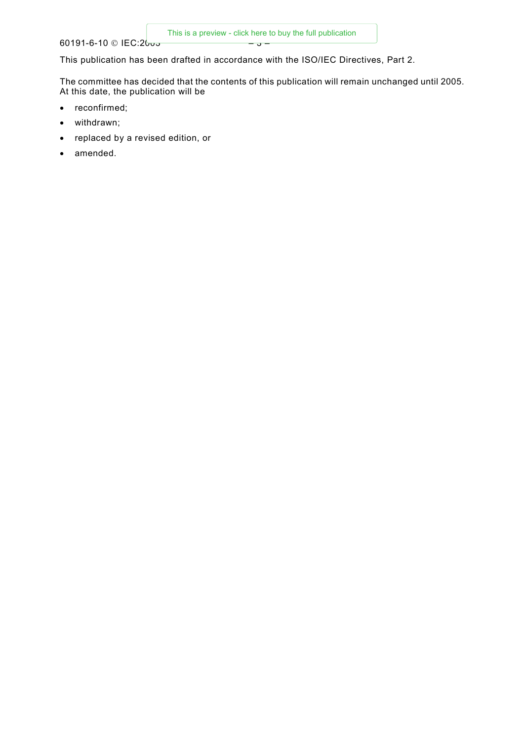60191-6-10 © IEC:2003

This publication has been drafted in accordance with the ISO/IEC Directives, Part 2.

The committee has decided that the contents of this publication will remain unchanged until 2005. At this date, the publication will be

- reconfirmed;
- withdrawn;
- replaced by a revised edition, or
- amended.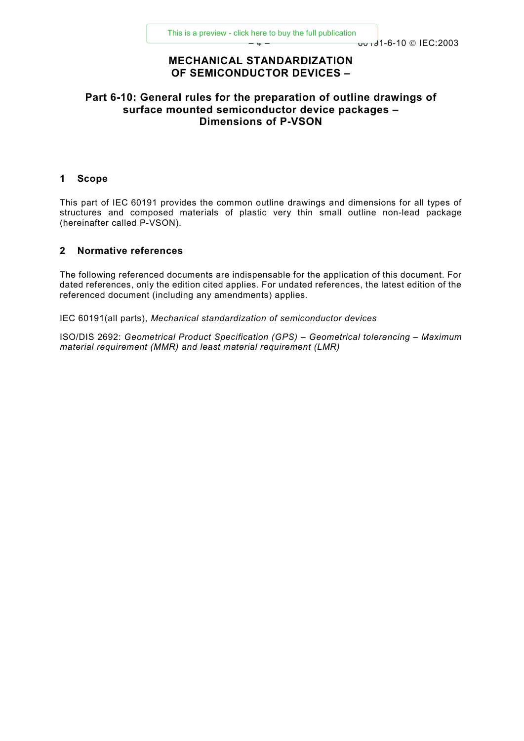– <del>עט ו</del> 1-6-10 © IEC:2003

# **MECHANICAL STANDARDIZATION OF SEMICONDUCTOR DEVICES –**

# **Part 6-10: General rules for the preparation of outline drawings of surface mounted semiconductor device packages – Dimensions of P-VSON**

#### **1 Scope**

This part of IEC 60191 provides the common outline drawings and dimensions for all types of structures and composed materials of plastic very thin small outline non-lead package (hereinafter called P-VSON).

#### **2 Normative references**

The following referenced documents are indispensable for the application of this document. For dated references, only the edition cited applies. For undated references, the latest edition of the referenced document (including any amendments) applies.

IEC 60191(all parts), *Mechanical standardization of semiconductor devices*

ISO/DIS 2692: *Geometrical Product Specification (GPS) – Geometrical tolerancing – Maximum material requirement (MMR) and least material requirement (LMR)*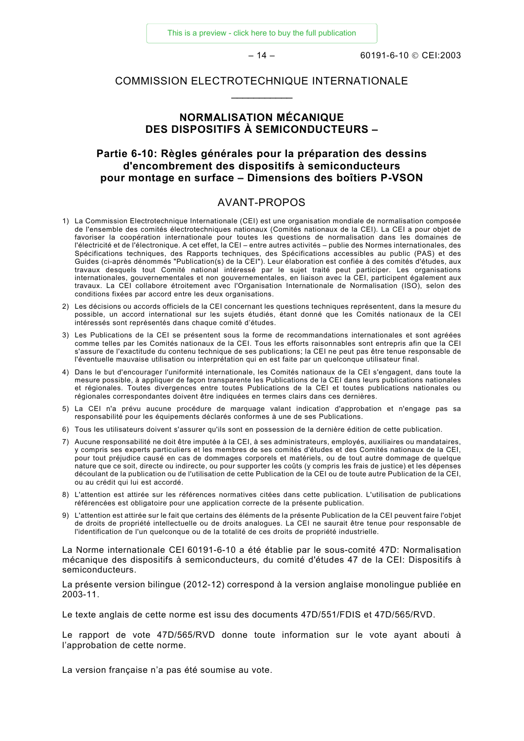[This is a preview - click here to buy the full publication](https://webstore.iec.ch/publication/993&preview=1)

# COMMISSION ELECTROTECHNIQUE INTERNATIONALE \_\_\_\_\_\_\_\_\_\_\_

# **NORMALISATION MÉCANIQUE DES DISPOSITIFS À SEMICONDUCTEURS –**

# **Partie 6-10: Règles générales pour la préparation des dessins d'encombrement des dispositifs à semiconducteurs pour montage en surface – Dimensions des boîtiers P-VSON**

#### AVANT-PROPOS

- 1) La Commission Electrotechnique Internationale (CEI) est une organisation mondiale de normalisation composée de l'ensemble des comités électrotechniques nationaux (Comités nationaux de la CEI). La CEI a pour objet de favoriser la coopération internationale pour toutes les questions de normalisation dans les domaines de l'électricité et de l'électronique. A cet effet, la CEI – entre autres activités – publie des Normes internationales, des Spécifications techniques, des Rapports techniques, des Spécifications accessibles au public (PAS) et des Guides (ci-après dénommés "Publication(s) de la CEI"). Leur élaboration est confiée à des comités d'études, aux travaux desquels tout Comité national intéressé par le sujet traité peut participer. Les organisations internationales, gouvernementales et non gouvernementales, en liaison avec la CEI, participent également aux travaux. La CEI collabore étroitement avec l'Organisation Internationale de Normalisation (ISO), selon des conditions fixées par accord entre les deux organisations.
- 2) Les décisions ou accords officiels de la CEI concernant les questions techniques représentent, dans la mesure du possible, un accord international sur les sujets étudiés, étant donné que les Comités nationaux de la CEI intéressés sont représentés dans chaque comité d'études.
- 3) Les Publications de la CEI se présentent sous la forme de recommandations internationales et sont agréées comme telles par les Comités nationaux de la CEI. Tous les efforts raisonnables sont entrepris afin que la CEI s'assure de l'exactitude du contenu technique de ses publications; la CEI ne peut pas être tenue responsable de l'éventuelle mauvaise utilisation ou interprétation qui en est faite par un quelconque utilisateur final.
- 4) Dans le but d'encourager l'uniformité internationale, les Comités nationaux de la CEI s'engagent, dans toute la mesure possible, à appliquer de façon transparente les Publications de la CEI dans leurs publications nationales et régionales. Toutes divergences entre toutes Publications de la CEI et toutes publications nationales ou régionales correspondantes doivent être indiquées en termes clairs dans ces dernières.
- 5) La CEI n'a prévu aucune procédure de marquage valant indication d'approbation et n'engage pas sa responsabilité pour les équipements déclarés conformes à une de ses Publications.
- 6) Tous les utilisateurs doivent s'assurer qu'ils sont en possession de la dernière édition de cette publication.
- 7) Aucune responsabilité ne doit être imputée à la CEI, à ses administrateurs, employés, auxiliaires ou mandataires, y compris ses experts particuliers et les membres de ses comités d'études et des Comités nationaux de la CEI, pour tout préjudice causé en cas de dommages corporels et matériels, ou de tout autre dommage de quelque nature que ce soit, directe ou indirecte, ou pour supporter les coûts (y compris les frais de justice) et les dépenses découlant de la publication ou de l'utilisation de cette Publication de la CEI ou de toute autre Publication de la CEI, ou au crédit qui lui est accordé.
- 8) L'attention est attirée sur les références normatives citées dans cette publication. L'utilisation de publications référencées est obligatoire pour une application correcte de la présente publication.
- 9) L'attention est attirée sur le fait que certains des éléments de la présente Publication de la CEI peuvent faire l'objet de droits de propriété intellectuelle ou de droits analogues. La CEI ne saurait être tenue pour responsable de l'identification de l'un quelconque ou de la totalité de ces droits de propriété industrielle.

La Norme internationale CEI 60191-6-10 a été établie par le sous-comité 47D: Normalisation mécanique des dispositifs à semiconducteurs, du comité d'études 47 de la CEI: Dispositifs à semiconducteurs.

La présente version bilingue (2012-12) correspond à la version anglaise monolingue publiée en 2003-11.

Le texte anglais de cette norme est issu des documents 47D/551/FDIS et 47D/565/RVD.

Le rapport de vote 47D/565/RVD donne toute information sur le vote ayant abouti à l'approbation de cette norme.

La version française n'a pas été soumise au vote.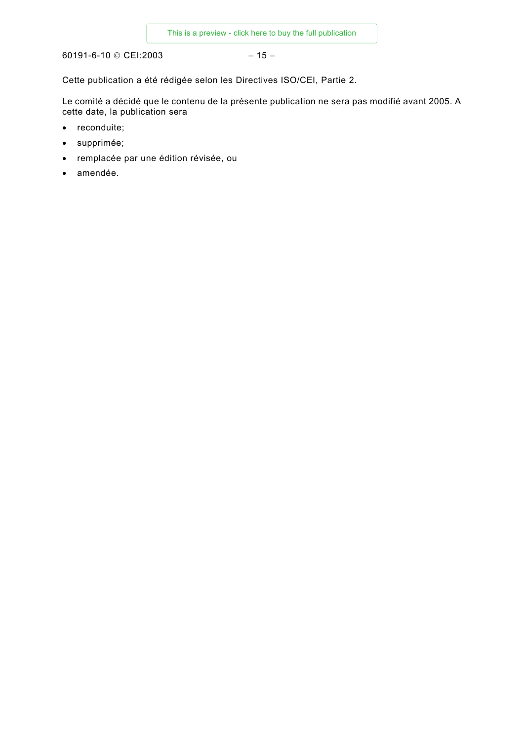60191-6-10 © CEI:2003 - 15 -

Cette publication a été rédigée selon les Directives ISO/CEI, Partie 2.

Le comité a décidé que le contenu de la présente publication ne sera pas modifié avant 2005. A cette date, la publication sera

- reconduite;
- supprimée;
- remplacée par une édition révisée, ou
- amendée.